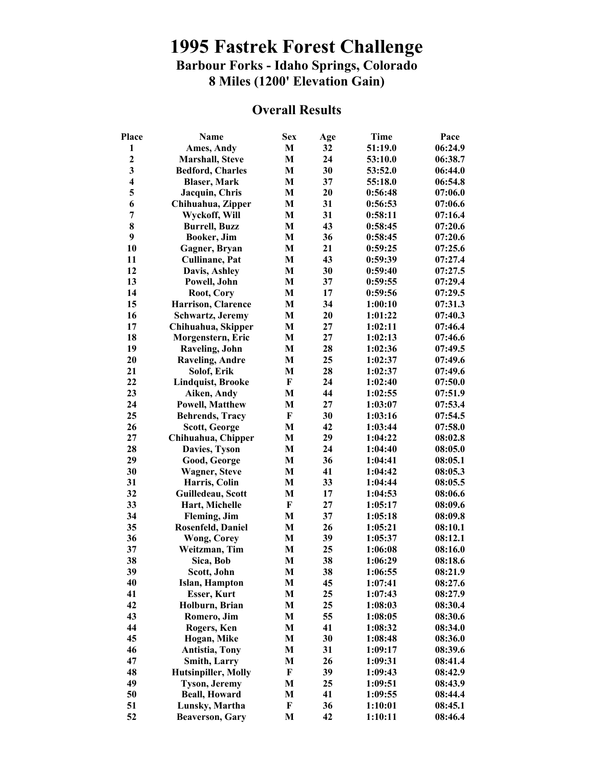## **1995 Fastrek Forest Challenge Barbour Forks - Idaho Springs, Colorado 8 Miles (1200' Elevation Gain)**

## **Overall Results**

| Place                   | <b>Name</b>                | <b>Sex</b>   | Age | Time    | Pace    |
|-------------------------|----------------------------|--------------|-----|---------|---------|
| 1                       | Ames, Andy                 | M            | 32  | 51:19.0 | 06:24.9 |
| $\mathbf{2}$            | <b>Marshall, Steve</b>     | M            | 24  | 53:10.0 | 06:38.7 |
| 3                       | <b>Bedford, Charles</b>    | M            | 30  | 53:52.0 | 06:44.0 |
| $\overline{\mathbf{4}}$ | <b>Blaser, Mark</b>        | M            | 37  | 55:18.0 | 06:54.8 |
| 5                       | Jacquin, Chris             | $\mathbf{M}$ | 20  | 0:56:48 | 07:06.0 |
| 6                       | Chihuahua, Zipper          | $\mathbf{M}$ | 31  | 0:56:53 | 07:06.6 |
| 7                       | Wyckoff, Will              | M            | 31  | 0:58:11 | 07:16.4 |
| 8                       | <b>Burrell, Buzz</b>       | M            | 43  | 0:58:45 | 07:20.6 |
| 9                       | Booker, Jim                | M            | 36  | 0:58:45 | 07:20.6 |
| 10                      | Gagner, Bryan              | M            | 21  | 0:59:25 | 07:25.6 |
|                         |                            |              | 43  |         | 07:27.4 |
| 11                      | <b>Cullinane</b> , Pat     | M            |     | 0:59:39 |         |
| 12                      | Davis, Ashley              | M            | 30  | 0:59:40 | 07:27.5 |
| 13                      | Powell, John               | M            | 37  | 0:59:55 | 07:29.4 |
| 14                      | Root, Cory                 | M            | 17  | 0:59:56 | 07:29.5 |
| 15                      | Harrison, Clarence         | M            | 34  | 1:00:10 | 07:31.3 |
| 16                      | Schwartz, Jeremy           | M            | 20  | 1:01:22 | 07:40.3 |
| 17                      | Chihuahua, Skipper         | M            | 27  | 1:02:11 | 07:46.4 |
| 18                      | Morgenstern, Eric          | M            | 27  | 1:02:13 | 07:46.6 |
| 19                      | <b>Raveling, John</b>      | M            | 28  | 1:02:36 | 07:49.5 |
| 20                      | <b>Raveling, Andre</b>     | M            | 25  | 1:02:37 | 07:49.6 |
| 21                      | Solof, Erik                | M            | 28  | 1:02:37 | 07:49.6 |
| 22                      | <b>Lindquist, Brooke</b>   | $\mathbf{F}$ | 24  | 1:02:40 | 07:50.0 |
| 23                      | Aiken, Andy                | M            | 44  | 1:02:55 | 07:51.9 |
| 24                      | <b>Powell, Matthew</b>     | M            | 27  | 1:03:07 | 07:53.4 |
| 25                      | <b>Behrends, Tracy</b>     | ${\bf F}$    | 30  | 1:03:16 | 07:54.5 |
| 26                      | <b>Scott, George</b>       | M            | 42  | 1:03:44 | 07:58.0 |
| 27                      | Chihuahua, Chipper         | M            | 29  | 1:04:22 | 08:02.8 |
| 28                      | Davies, Tyson              | M            | 24  | 1:04:40 | 08:05.0 |
| 29                      | Good, George               | M            | 36  | 1:04:41 | 08:05.1 |
| 30                      | <b>Wagner, Steve</b>       | M            | 41  | 1:04:42 | 08:05.3 |
| 31                      | Harris, Colin              | M            | 33  | 1:04:44 | 08:05.5 |
| 32                      | Guilledeau, Scott          | M            | 17  | 1:04:53 | 08:06.6 |
| 33                      |                            | $\mathbf F$  | 27  | 1:05:17 | 08:09.6 |
|                         | Hart, Michelle             |              |     |         |         |
| 34                      | Fleming, Jim               | M            | 37  | 1:05:18 | 08:09.8 |
| 35                      | <b>Rosenfeld, Daniel</b>   | M            | 26  | 1:05:21 | 08:10.1 |
| 36                      | <b>Wong, Corey</b>         | M            | 39  | 1:05:37 | 08:12.1 |
| 37                      | Weitzman, Tim              | M            | 25  | 1:06:08 | 08:16.0 |
| 38                      | Sica, Bob                  | M            | 38  | 1:06:29 | 08:18.6 |
| 39                      | Scott, John                | M            | 38  | 1:06:55 | 08:21.9 |
| 40                      | Islan, Hampton             | M            | 45  | 1:07:41 | 08:27.6 |
| 41                      | <b>Esser, Kurt</b>         | M            | 25  | 1:07:43 | 08:27.9 |
| 42                      | Holburn, Brian             | M            | 25  | 1:08:03 | 08:30.4 |
| 43                      | Romero, Jim                | M            | 55  | 1:08:05 | 08:30.6 |
| 44                      | Rogers, Ken                | M            | 41  | 1:08:32 | 08:34.0 |
| 45                      | Hogan, Mike                | M            | 30  | 1:08:48 | 08:36.0 |
| 46                      | Antistia, Tony             | M            | 31  | 1:09:17 | 08:39.6 |
| 47                      | <b>Smith, Larry</b>        | M            | 26  | 1:09:31 | 08:41.4 |
| 48                      | <b>Hutsinpiller, Molly</b> | $\mathbf F$  | 39  | 1:09:43 | 08:42.9 |
| 49                      | <b>Tyson, Jeremy</b>       | M            | 25  | 1:09:51 | 08:43.9 |
| 50                      | <b>Beall, Howard</b>       | M            | 41  | 1:09:55 | 08:44.4 |
| 51                      | Lunsky, Martha             | F            | 36  | 1:10:01 | 08:45.1 |
| 52                      | <b>Beaverson, Gary</b>     | M            | 42  | 1:10:11 | 08:46.4 |
|                         |                            |              |     |         |         |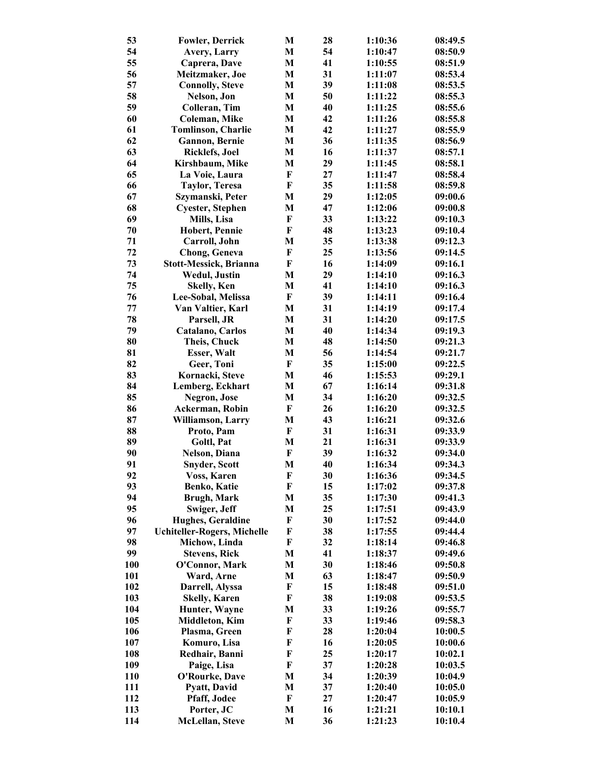| 53         | <b>Fowler, Derrick</b>             | M                         | 28 | 1:10:36 | 08:49.5 |
|------------|------------------------------------|---------------------------|----|---------|---------|
| 54         | <b>Avery, Larry</b>                | M                         | 54 | 1:10:47 | 08:50.9 |
| 55         | Caprera, Dave                      | M                         | 41 | 1:10:55 | 08:51.9 |
| 56         | Meitzmaker, Joe                    | M                         | 31 | 1:11:07 | 08:53.4 |
| 57         | <b>Connolly, Steve</b>             | M                         | 39 | 1:11:08 | 08:53.5 |
| 58         | Nelson, Jon                        | M                         | 50 | 1:11:22 | 08:55.3 |
| 59         | Colleran, Tim                      | M                         | 40 | 1:11:25 | 08:55.6 |
| 60         | Coleman, Mike                      | M                         | 42 | 1:11:26 | 08:55.8 |
| 61         | <b>Tomlinson, Charlie</b>          | M                         | 42 | 1:11:27 | 08:55.9 |
| 62         | <b>Gannon</b> , Bernie             | M                         | 36 | 1:11:35 | 08:56.9 |
| 63         | <b>Ricklefs</b> , Joel             | M                         | 16 | 1:11:37 | 08:57.1 |
| 64         | Kirshbaum, Mike                    | M                         | 29 | 1:11:45 | 08:58.1 |
| 65         | La Voie, Laura                     | F                         | 27 | 1:11:47 | 08:58.4 |
| 66         | <b>Taylor, Teresa</b>              | $\boldsymbol{\mathrm{F}}$ | 35 | 1:11:58 | 08:59.8 |
| 67         | Szymanski, Peter                   | M                         | 29 | 1:12:05 | 09:00.6 |
| 68         | <b>Cyester, Stephen</b>            | M                         | 47 | 1:12:06 | 09:00.8 |
| 69         | Mills, Lisa                        | F                         | 33 | 1:13:22 | 09:10.3 |
| 70         | <b>Hobert, Pennie</b>              | F                         | 48 | 1:13:23 | 09:10.4 |
| 71         | Carroll, John                      | M                         | 35 | 1:13:38 | 09:12.3 |
| 72         | <b>Chong, Geneva</b>               | F                         | 25 | 1:13:56 | 09:14.5 |
| 73         | <b>Stott-Messick, Brianna</b>      | F                         | 16 | 1:14:09 | 09:16.1 |
| 74         | <b>Wedul, Justin</b>               | M                         | 29 | 1:14:10 | 09:16.3 |
| 75         | <b>Skelly, Ken</b>                 | M                         | 41 | 1:14:10 | 09:16.3 |
| 76         | Lee-Sobal, Melissa                 | $\boldsymbol{\mathrm{F}}$ | 39 | 1:14:11 | 09:16.4 |
| 77         | Van Valtier, Karl                  | M                         | 31 | 1:14:19 | 09:17.4 |
| 78         | Parsell, JR                        | M                         | 31 | 1:14:20 | 09:17.5 |
| 79         | Catalano, Carlos                   | M                         | 40 | 1:14:34 | 09:19.3 |
| 80         | Theis, Chuck                       | M                         | 48 | 1:14:50 | 09:21.3 |
| 81         | Esser, Walt                        | M                         | 56 | 1:14:54 | 09:21.7 |
| 82         | Geer, Toni                         | F                         | 35 | 1:15:00 | 09:22.5 |
| 83         | Kornacki, Steve                    | M                         | 46 | 1:15:53 | 09:29.1 |
| 84         | Lemberg, Eckhart                   | M                         | 67 | 1:16:14 | 09:31.8 |
| 85         | <b>Negron</b> , Jose               | M                         | 34 | 1:16:20 | 09:32.5 |
| 86         | Ackerman, Robin                    | F                         | 26 | 1:16:20 | 09:32.5 |
| 87         | Williamson, Larry                  | M                         | 43 | 1:16:21 | 09:32.6 |
| 88         | Proto, Pam                         | $\boldsymbol{\mathrm{F}}$ | 31 | 1:16:31 | 09:33.9 |
| 89         | Goltl, Pat                         | M                         | 21 | 1:16:31 | 09:33.9 |
| 90         | Nelson, Diana                      | F                         | 39 | 1:16:32 | 09:34.0 |
| 91         | <b>Snyder, Scott</b>               | M                         | 40 | 1:16:34 | 09:34.3 |
| 92         | Voss, Karen                        | F                         | 30 | 1:16:36 | 09:34.5 |
| 93         | Benko, Katie                       | F                         | 15 | 1:17:02 | 09:37.8 |
| 94         | <b>Brugh, Mark</b>                 | M                         | 35 | 1:17:30 | 09:41.3 |
| 95         | Swiger, Jeff                       | M                         | 25 | 1:17:51 | 09:43.9 |
| 96         | <b>Hughes, Geraldine</b>           | F                         | 30 | 1:17:52 | 09:44.0 |
| 97         | <b>Uchiteller-Rogers, Michelle</b> | F                         | 38 | 1:17:55 | 09:44.4 |
| 98         | Michow, Linda                      | $\mathbf F$               | 32 | 1:18:14 | 09:46.8 |
| 99         | <b>Stevens, Rick</b>               | M                         | 41 | 1:18:37 | 09:49.6 |
| <b>100</b> | O'Connor, Mark                     | M                         | 30 | 1:18:46 | 09:50.8 |
| 101        | Ward, Arne                         | M                         | 63 | 1:18:47 | 09:50.9 |
| 102        | Darrell, Alyssa                    | ${\bf F}$                 | 15 | 1:18:48 | 09:51.0 |
| 103        | <b>Skelly, Karen</b>               | ${\bf F}$                 | 38 | 1:19:08 | 09:53.5 |
| 104        | Hunter, Wayne                      | M                         | 33 | 1:19:26 | 09:55.7 |
| 105        | <b>Middleton</b> , Kim             | F                         | 33 | 1:19:46 | 09:58.3 |
| 106        | Plasma, Green                      | F                         | 28 | 1:20:04 | 10:00.5 |
| 107        | Komuro, Lisa                       | F                         | 16 | 1:20:05 | 10:00.6 |
| 108        | Redhair, Banni                     | F                         | 25 | 1:20:17 | 10:02.1 |
| 109        | Paige, Lisa                        | F                         | 37 | 1:20:28 | 10:03.5 |
| 110        | O'Rourke, Dave                     | M                         | 34 | 1:20:39 | 10:04.9 |
| 111        | Pyatt, David                       | M                         | 37 | 1:20:40 | 10:05.0 |
| 112        | Pfaff, Jodee                       | $\mathbf F$               | 27 | 1:20:47 | 10:05.9 |
| 113        | Porter, JC                         | M                         | 16 | 1:21:21 | 10:10.1 |
| 114        | McLellan, Steve                    | M                         | 36 | 1:21:23 | 10:10.4 |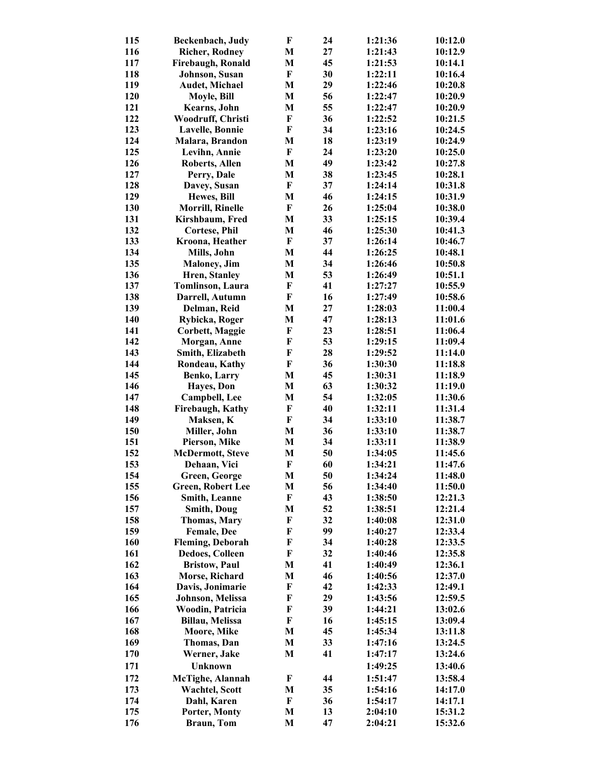| 115        | Beckenbach, Judy            | F                         | 24 | 1:21:36 | 10:12.0            |
|------------|-----------------------------|---------------------------|----|---------|--------------------|
| 116        | <b>Richer, Rodney</b>       | M                         | 27 | 1:21:43 | 10:12.9            |
| 117        | Firebaugh, Ronald           | M                         | 45 | 1:21:53 | 10:14.1            |
| 118        | Johnson, Susan              | F                         | 30 | 1:22:11 | 10:16.4            |
| 119        | Audet, Michael              | M                         | 29 | 1:22:46 | 10:20.8            |
| 120        | Moyle, Bill                 | M                         | 56 | 1:22:47 | 10:20.9            |
| 121        | Kearns, John                | M                         | 55 | 1:22:47 | 10:20.9            |
| 122        | Woodruff, Christi           | F                         | 36 | 1:22:52 | 10:21.5            |
| 123        | <b>Lavelle, Bonnie</b>      | F                         | 34 | 1:23:16 | 10:24.5            |
| 124        | Malara, Brandon             | M                         | 18 | 1:23:19 | 10:24.9            |
| 125        | Levihn, Annie               | $\boldsymbol{\mathrm{F}}$ | 24 | 1:23:20 | 10:25.0            |
| 126        | <b>Roberts, Allen</b>       | M                         | 49 | 1:23:42 | 10:27.8            |
| 127        | Perry, Dale                 | M                         | 38 | 1:23:45 | 10:28.1            |
| 128        | Davey, Susan                | $\boldsymbol{\mathrm{F}}$ | 37 | 1:24:14 | 10:31.8            |
| 129        | Hewes, Bill                 | M                         | 46 | 1:24:15 | 10:31.9            |
| 130        | <b>Morrill, Rinelle</b>     | F                         | 26 | 1:25:04 | 10:38.0            |
| 131        | Kirshbaum, Fred             | M                         | 33 | 1:25:15 | 10:39.4            |
| 132        | <b>Cortese, Phil</b>        | M                         | 46 | 1:25:30 | 10:41.3            |
| 133        | Kroona, Heather             | F                         | 37 | 1:26:14 | 10:46.7            |
| 134        | Mills, John                 | M                         | 44 | 1:26:25 | 10:48.1            |
| 135        | <b>Maloney</b> , Jim        | M                         | 34 | 1:26:46 | 10:50.8            |
| 136        | Hren, Stanley               | M                         | 53 | 1:26:49 | 10:51.1            |
| 137        | <b>Tomlinson</b> , Laura    | $\mathbf F$               | 41 | 1:27:27 | 10:55.9            |
| 138        | Darrell, Autumn             | $\bf F$                   | 16 | 1:27:49 | 10:58.6            |
| 139        | Delman, Reid                | M                         | 27 | 1:28:03 | 11:00.4            |
| 140        | Rybicka, Roger              | M                         | 47 | 1:28:13 | 11:01.6            |
| 141        | <b>Corbett, Maggie</b>      | $\mathbf F$               | 23 | 1:28:51 | 11:06.4            |
| 142        | Morgan, Anne                | F                         | 53 | 1:29:15 | 11:09.4            |
| 143        | Smith, Elizabeth            | F                         | 28 | 1:29:52 | 11:14.0            |
| 144        | Rondeau, Kathy              | ${\bf F}$                 | 36 | 1:30:30 | 11:18.8            |
| 145        | <b>Benko, Larry</b>         | M                         | 45 | 1:30:31 | 11:18.9            |
| 146        | <b>Hayes</b> , Don          | M                         | 63 | 1:30:32 | 11:19.0            |
| 147        | Campbell, Lee               | M                         | 54 | 1:32:05 | 11:30.6            |
| 148        | Firebaugh, Kathy            | $\mathbf F$               | 40 | 1:32:11 | 11:31.4            |
| 149        | Maksen, K                   | $\boldsymbol{\mathrm{F}}$ | 34 | 1:33:10 | 11:38.7            |
| 150        | Miller, John                | M                         | 36 | 1:33:10 | 11:38.7            |
| 151        | Pierson, Mike               | M                         | 34 | 1:33:11 | 11:38.9            |
| 152        | <b>McDermott, Steve</b>     | M                         | 50 | 1:34:05 | 11:45.6            |
| 153        | Dehaan, Vici                | F                         | 60 | 1:34:21 | 11:47.6            |
| 154        | Green, George               | M                         | 50 | 1:34:24 | 11:48.0            |
| 155        | <b>Green, Robert Lee</b>    | M                         | 56 | 1:34:40 | 11:50.0            |
| 156        | <b>Smith, Leanne</b>        | F                         | 43 | 1:38:50 | 12:21.3            |
| 157        | <b>Smith, Doug</b>          | M                         | 52 | 1:38:51 | 12:21.4            |
| 158        | <b>Thomas, Mary</b>         | F                         | 32 | 1:40:08 | 12:31.0            |
| 159        | <b>Female</b> , Dee         | F                         | 99 | 1:40:27 | 12:33.4            |
| 160        | <b>Fleming, Deborah</b>     | F                         | 34 | 1:40:28 | 12:33.5            |
| 161        | <b>Dedoes, Colleen</b>      | F                         | 32 | 1:40:46 | 12:35.8            |
| 162        | <b>Bristow</b> , Paul       | M                         | 41 | 1:40:49 | 12:36.1            |
| 163        | Morse, Richard              | M                         | 46 | 1:40:56 | 12:37.0            |
| 164        | Davis, Jonimarie            | F                         | 42 | 1:42:33 | 12:49.1            |
| 165        | Johnson, Melissa            | F                         | 29 | 1:43:56 | 12:59.5            |
| 166        | Woodin, Patricia            | F                         | 39 | 1:44:21 | 13:02.6            |
| 167        | Billau, Melissa             | F                         | 16 | 1:45:15 | 13:09.4            |
|            |                             |                           | 45 |         |                    |
| 168<br>169 | Moore, Mike                 | M<br>M                    | 33 | 1:45:34 | 13:11.8<br>13:24.5 |
| 170        | Thomas, Dan<br>Werner, Jake | M                         | 41 | 1:47:16 | 13:24.6            |
|            |                             |                           |    | 1:47:17 |                    |
| 171        | <b>Unknown</b>              |                           |    | 1:49:25 | 13:40.6            |
| 172        | McTighe, Alannah            | F                         | 44 | 1:51:47 | 13:58.4            |
| 173        | <b>Wachtel, Scott</b>       | M                         | 35 | 1:54:16 | 14:17.0            |
| 174        | Dahl, Karen                 | $\mathbf{F}$              | 36 | 1:54:17 | 14:17.1            |
| 175        | Porter, Monty               | M                         | 13 | 2:04:10 | 15:31.2            |
| 176        | <b>Braun</b> , Tom          | M                         | 47 | 2:04:21 | 15:32.6            |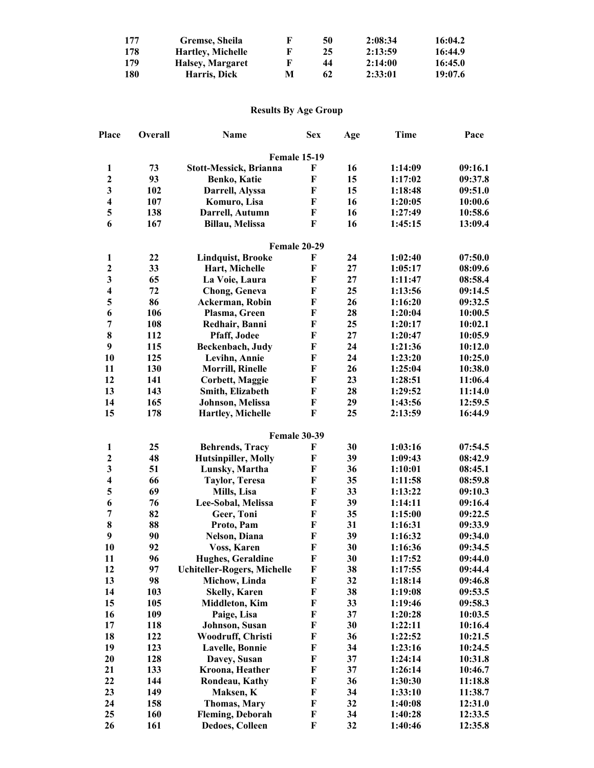| 177        | Gremse, Sheila           | К | 50 | 2:08:34 | 16:04.2 |
|------------|--------------------------|---|----|---------|---------|
| 178        | <b>Hartley, Michelle</b> |   | 25 | 2:13:59 | 16:44.9 |
| 179        | Halsey, Margaret         | F | 44 | 2:14:00 | 16:45.0 |
| <b>180</b> | Harris, Dick             | м | 62 | 2:33:01 | 19:07.6 |

## **Results By Age Group**

| Place                   | Overall | <b>Name</b>                        | <b>Sex</b>   | Age | <b>Time</b> | Pace    |
|-------------------------|---------|------------------------------------|--------------|-----|-------------|---------|
|                         |         | <b>Female 15-19</b>                |              |     |             |         |
| $\mathbf{1}$            | 73      | <b>Stott-Messick, Brianna</b>      | F            | 16  | 1:14:09     | 09:16.1 |
| $\boldsymbol{2}$        | 93      | Benko, Katie                       | F            | 15  | 1:17:02     | 09:37.8 |
| $\mathbf{3}$            | 102     | Darrell, Alyssa                    | $\mathbf F$  | 15  | 1:18:48     | 09:51.0 |
| $\overline{\mathbf{4}}$ | 107     | Komuro, Lisa                       | F            | 16  | 1:20:05     | 10:00.6 |
| 5                       | 138     | Darrell, Autumn                    | $\mathbf F$  | 16  | 1:27:49     | 10:58.6 |
| 6                       | 167     | Billau, Melissa                    | F            | 16  | 1:45:15     | 13:09.4 |
|                         |         | Female 20-29                       |              |     |             |         |
| $\mathbf{1}$            | 22      | <b>Lindquist, Brooke</b>           | F            | 24  | 1:02:40     | 07:50.0 |
| $\overline{\mathbf{c}}$ | 33      | Hart, Michelle                     | F            | 27  | 1:05:17     | 08:09.6 |
| $\overline{\mathbf{3}}$ | 65      | La Voie, Laura                     | F            | 27  | 1:11:47     | 08:58.4 |
| $\overline{\mathbf{4}}$ | 72      | <b>Chong, Geneva</b>               | F            | 25  | 1:13:56     | 09:14.5 |
| 5                       | 86      | Ackerman, Robin                    | F            | 26  | 1:16:20     | 09:32.5 |
| 6                       | 106     | Plasma, Green                      | F            | 28  | 1:20:04     | 10:00.5 |
| $\overline{7}$          | 108     | Redhair, Banni                     | F            | 25  | 1:20:17     | 10:02.1 |
| 8                       | 112     | Pfaff, Jodee                       | F            | 27  | 1:20:47     | 10:05.9 |
| 9                       | 115     | Beckenbach, Judy                   | F            | 24  | 1:21:36     | 10:12.0 |
| 10                      | 125     | Levihn, Annie                      | F            | 24  | 1:23:20     | 10:25.0 |
| 11                      | 130     | <b>Morrill, Rinelle</b>            | F            | 26  | 1:25:04     | 10:38.0 |
| 12                      | 141     | <b>Corbett, Maggie</b>             | F            | 23  | 1:28:51     | 11:06.4 |
| 13                      | 143     | Smith, Elizabeth                   | F            | 28  | 1:29:52     | 11:14.0 |
| 14                      | 165     | Johnson, Melissa                   | F            | 29  | 1:43:56     | 12:59.5 |
| 15                      | 178     | Hartley, Michelle                  | F            | 25  | 2:13:59     | 16:44.9 |
|                         |         | <b>Female 30-39</b>                |              |     |             |         |
| $\mathbf{1}$            | 25      | <b>Behrends, Tracy</b>             | F            | 30  | 1:03:16     | 07:54.5 |
| $\boldsymbol{2}$        | 48      | <b>Hutsinpiller, Molly</b>         | $\mathbf F$  | 39  | 1:09:43     | 08:42.9 |
| $\overline{\mathbf{3}}$ | 51      | Lunsky, Martha                     | F            | 36  | 1:10:01     | 08:45.1 |
| $\overline{\mathbf{4}}$ | 66      | <b>Taylor, Teresa</b>              | F            | 35  | 1:11:58     | 08:59.8 |
| 5                       | 69      | Mills, Lisa                        | F            | 33  | 1:13:22     | 09:10.3 |
| 6                       | 76      | Lee-Sobal, Melissa                 | $\mathbf F$  | 39  | 1:14:11     | 09:16.4 |
| $\overline{7}$          | 82      | Geer, Toni                         | F            | 35  | 1:15:00     | 09:22.5 |
| 8                       | 88      | Proto, Pam                         | $\mathbf F$  | 31  | 1:16:31     | 09:33.9 |
| 9                       | 90      | Nelson, Diana                      | $\mathbf F$  | 39  | 1:16:32     | 09:34.0 |
| 10                      | 92      | Voss, Karen                        | F            | 30  | 1:16:36     | 09:34.5 |
| 11                      | 96      | <b>Hughes, Geraldine</b>           | $\mathbf{F}$ | 30  | 1:17:52     | 09:44.0 |
| 12                      | 97      | <b>Uchiteller-Rogers, Michelle</b> | F            | 38  | 1:17:55     | 09:44.4 |
| 13                      | 98      | Michow, Linda                      | F            | 32  | 1:18:14     | 09:46.8 |
| 14                      | 103     | <b>Skelly, Karen</b>               | F            | 38  | 1:19:08     | 09:53.5 |
| 15                      | 105     | <b>Middleton, Kim</b>              | F            | 33  | 1:19:46     | 09:58.3 |
| 16                      | 109     | Paige, Lisa                        | F            | 37  | 1:20:28     | 10:03.5 |
| 17                      | 118     | Johnson, Susan                     | F            | 30  | 1:22:11     | 10:16.4 |
| 18                      | 122     | Woodruff, Christi                  | F            | 36  | 1:22:52     | 10:21.5 |
| 19                      | 123     | <b>Lavelle, Bonnie</b>             | F            | 34  | 1:23:16     | 10:24.5 |
| 20                      | 128     | Davey, Susan                       | F            | 37  | 1:24:14     | 10:31.8 |
| 21                      | 133     | Kroona, Heather                    | F            | 37  | 1:26:14     | 10:46.7 |
| 22                      | 144     | Rondeau, Kathy                     | F            | 36  | 1:30:30     | 11:18.8 |
| 23                      | 149     | Maksen, K                          | F            | 34  | 1:33:10     | 11:38.7 |
| 24                      | 158     | <b>Thomas, Mary</b>                | F            | 32  | 1:40:08     | 12:31.0 |
| 25                      | 160     | <b>Fleming, Deborah</b>            | F            | 34  | 1:40:28     | 12:33.5 |
| 26                      | 161     | <b>Dedoes, Colleen</b>             | F            | 32  | 1:40:46     | 12:35.8 |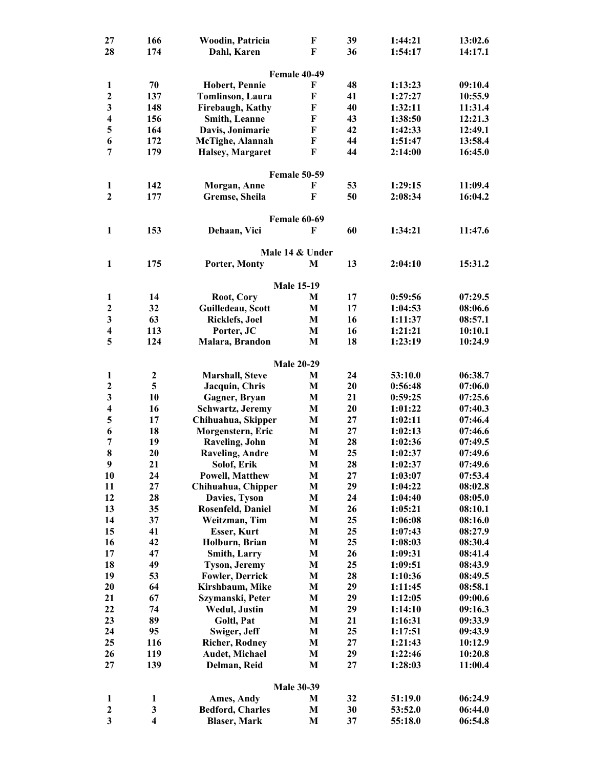| 27                      | 166                     | Woodin, Patricia         | F                   | 39 | 1:44:21 | 13:02.6 |
|-------------------------|-------------------------|--------------------------|---------------------|----|---------|---------|
| 28                      | 174                     | Dahl, Karen              | F                   | 36 | 1:54:17 | 14:17.1 |
|                         |                         |                          |                     |    |         |         |
|                         |                         |                          | Female 40-49        |    |         |         |
| $\mathbf{1}$            | 70                      | <b>Hobert, Pennie</b>    | F                   | 48 | 1:13:23 | 09:10.4 |
| $\mathbf{2}$            | 137                     | <b>Tomlinson</b> , Laura | F                   | 41 | 1:27:27 | 10:55.9 |
| 3                       | 148                     | Firebaugh, Kathy         | F                   | 40 | 1:32:11 | 11:31.4 |
| $\overline{\mathbf{4}}$ | 156                     | Smith, Leanne            | F                   | 43 | 1:38:50 | 12:21.3 |
| 5                       | 164                     | Davis, Jonimarie         | $\mathbf F$         | 42 | 1:42:33 | 12:49.1 |
| 6                       | 172                     | McTighe, Alannah         | $\mathbf F$         | 44 | 1:51:47 | 13:58.4 |
| 7                       | 179                     | Halsey, Margaret         | F                   | 44 | 2:14:00 | 16:45.0 |
|                         |                         |                          |                     |    |         |         |
|                         |                         |                          | <b>Female 50-59</b> |    |         |         |
| 1                       | 142                     | Morgan, Anne             | F                   | 53 | 1:29:15 | 11:09.4 |
| $\overline{2}$          | 177                     | Gremse, Sheila           | F                   | 50 | 2:08:34 | 16:04.2 |
|                         |                         |                          |                     |    |         |         |
|                         |                         |                          | Female 60-69        |    |         |         |
| 1                       | 153                     | Dehaan, Vici             | F                   | 60 | 1:34:21 | 11:47.6 |
|                         |                         |                          |                     |    |         |         |
|                         |                         |                          | Male 14 & Under     |    |         |         |
| 1                       | 175                     | Porter, Monty            | M                   | 13 | 2:04:10 | 15:31.2 |
|                         |                         |                          |                     |    |         |         |
|                         |                         |                          | <b>Male 15-19</b>   |    |         |         |
| 1                       | 14                      | Root, Cory               | М                   | 17 | 0:59:56 | 07:29.5 |
| $\mathbf{2}$            | 32                      | Guilledeau, Scott        | M                   | 17 | 1:04:53 | 08:06.6 |
| 3                       | 63                      | <b>Ricklefs, Joel</b>    | M                   | 16 | 1:11:37 | 08:57.1 |
| $\overline{\mathbf{4}}$ | 113                     | Porter, JC               | M                   | 16 | 1:21:21 | 10:10.1 |
| 5                       | 124                     | Malara, Brandon          | M                   | 18 | 1:23:19 | 10:24.9 |
|                         |                         |                          |                     |    |         |         |
|                         |                         |                          | <b>Male 20-29</b>   |    |         |         |
| $\mathbf{1}$            | $\boldsymbol{2}$        | Marshall, Steve          | M                   | 24 | 53:10.0 | 06:38.7 |
| $\mathbf{2}$            | 5                       | Jacquin, Chris           | M                   | 20 | 0:56:48 | 07:06.0 |
| 3                       | 10                      | Gagner, Bryan            | M                   | 21 | 0:59:25 | 07:25.6 |
| 4                       | 16                      | Schwartz, Jeremy         | M                   | 20 | 1:01:22 | 07:40.3 |
| 5                       | 17                      | Chihuahua, Skipper       | M                   | 27 | 1:02:11 | 07:46.4 |
| 6                       | 18                      | Morgenstern, Eric        | M                   | 27 | 1:02:13 | 07:46.6 |
| 7                       | 19                      | <b>Raveling</b> , John   | M                   | 28 | 1:02:36 | 07:49.5 |
| 8                       | 20                      | <b>Raveling, Andre</b>   | M                   | 25 | 1:02:37 | 07:49.6 |
| 9                       | 21                      | Solof, Erik              | M                   | 28 | 1:02:37 | 07:49.6 |
| 10                      | 24                      | <b>Powell, Matthew</b>   | M                   | 27 | 1:03:07 | 07:53.4 |
| 11                      | 27                      | Chihuahua, Chipper       | M                   | 29 | 1:04:22 | 08:02.8 |
| 12                      | 28                      | Davies, Tyson            | M                   | 24 | 1:04:40 | 08:05.0 |
| 13                      | 35                      | Rosenfeld, Daniel        | M                   | 26 | 1:05:21 | 08:10.1 |
| 14                      | 37                      | Weitzman, Tim            | M                   | 25 | 1:06:08 | 08:16.0 |
| 15                      | 41                      | <b>Esser, Kurt</b>       | M                   | 25 | 1:07:43 | 08:27.9 |
| 16                      | 42                      | Holburn, Brian           | M                   | 25 | 1:08:03 | 08:30.4 |
| 17                      | 47                      | Smith, Larry             | M                   | 26 | 1:09:31 | 08:41.4 |
| 18                      | 49                      | <b>Tyson, Jeremy</b>     | M                   | 25 | 1:09:51 | 08:43.9 |
| 19                      | 53                      | <b>Fowler, Derrick</b>   | M                   | 28 | 1:10:36 | 08:49.5 |
| 20                      | 64                      | Kirshbaum, Mike          | $\mathbf{M}$        | 29 | 1:11:45 | 08:58.1 |
| 21                      | 67                      | Szymanski, Peter         | $\mathbf{M}$        | 29 | 1:12:05 | 09:00.6 |
| 22                      | 74                      | <b>Wedul, Justin</b>     | $\mathbf{M}$        | 29 | 1:14:10 | 09:16.3 |
| 23                      | 89                      | Goltl, Pat               | M                   | 21 | 1:16:31 | 09:33.9 |
| 24                      | 95                      | Swiger, Jeff             | M                   | 25 | 1:17:51 | 09:43.9 |
| 25                      | 116                     | <b>Richer, Rodney</b>    | M                   | 27 | 1:21:43 | 10:12.9 |
| 26                      | 119                     | Audet, Michael           | M                   | 29 | 1:22:46 | 10:20.8 |
| 27                      | 139                     | Delman, Reid             | M                   | 27 | 1:28:03 | 11:00.4 |
|                         |                         |                          |                     |    |         |         |
|                         |                         |                          | <b>Male 30-39</b>   |    |         |         |
| $\mathbf{1}$            | 1                       | Ames, Andy               | M                   | 32 | 51:19.0 | 06:24.9 |
| $\mathbf{2}$            | 3                       | <b>Bedford, Charles</b>  | M                   | 30 | 53:52.0 | 06:44.0 |
| $\overline{\mathbf{3}}$ | $\overline{\mathbf{4}}$ | <b>Blaser, Mark</b>      | M                   | 37 | 55:18.0 | 06:54.8 |
|                         |                         |                          |                     |    |         |         |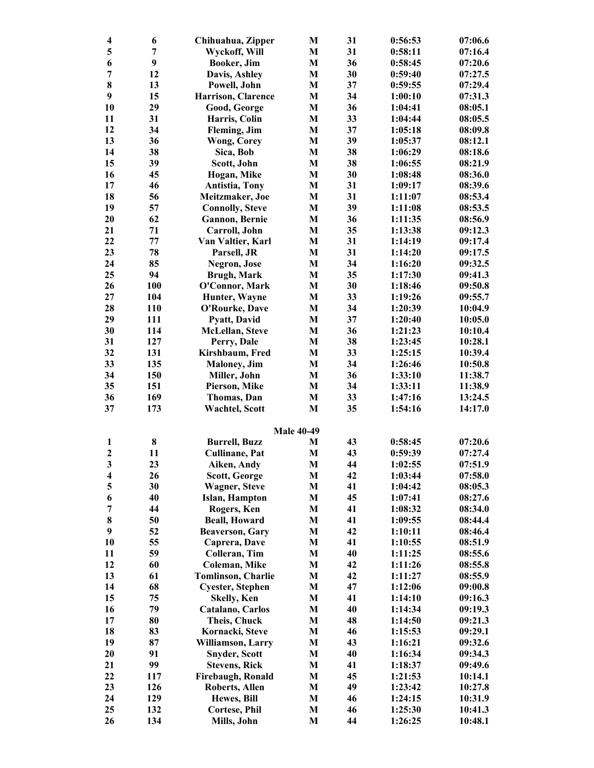| $\overline{\mathbf{4}}$ | 6   | Chihuahua, Zipper         | M                 | 31 | 0:56:53 | 07:06.6 |
|-------------------------|-----|---------------------------|-------------------|----|---------|---------|
| 5                       | 7   | Wyckoff, Will             | M                 | 31 | 0:58:11 | 07:16.4 |
| 6                       | 9   | Booker, Jim               | $\mathbf{M}$      | 36 | 0:58:45 | 07:20.6 |
| 7                       | 12  | Davis, Ashley             | M                 | 30 | 0:59:40 | 07:27.5 |
| 8                       | 13  | Powell, John              | M                 | 37 | 0:59:55 | 07:29.4 |
| 9                       | 15  | Harrison, Clarence        | M                 | 34 | 1:00:10 | 07:31.3 |
| 10                      | 29  | Good, George              | M                 | 36 | 1:04:41 | 08:05.1 |
| 11                      | 31  | Harris, Colin             | $\mathbf{M}$      | 33 | 1:04:44 | 08:05.5 |
| 12                      | 34  | Fleming, Jim              | M                 | 37 | 1:05:18 | 08:09.8 |
| 13                      | 36  | <b>Wong, Corey</b>        | M                 | 39 | 1:05:37 | 08:12.1 |
| 14                      | 38  | Sica, Bob                 | M                 | 38 | 1:06:29 | 08:18.6 |
| 15                      | 39  | Scott, John               | M                 | 38 | 1:06:55 | 08:21.9 |
| 16                      | 45  | Hogan, Mike               | M                 | 30 | 1:08:48 | 08:36.0 |
| 17                      | 46  | Antistia, Tony            | $\mathbf{M}$      | 31 | 1:09:17 | 08:39.6 |
| 18                      | 56  | Meitzmaker, Joe           | $\mathbf{M}$      | 31 | 1:11:07 | 08:53.4 |
| 19                      | 57  | <b>Connolly, Steve</b>    | M                 | 39 | 1:11:08 | 08:53.5 |
| 20                      | 62  |                           |                   | 36 | 1:11:35 |         |
|                         |     | <b>Gannon</b> , Bernie    | M                 |    |         | 08:56.9 |
| 21                      | 71  | Carroll, John             | M                 | 35 | 1:13:38 | 09:12.3 |
| 22                      | 77  | Van Valtier, Karl         | M                 | 31 | 1:14:19 | 09:17.4 |
| 23                      | 78  | Parsell, JR               | M                 | 31 | 1:14:20 | 09:17.5 |
| 24                      | 85  | Negron, Jose              | M                 | 34 | 1:16:20 | 09:32.5 |
| 25                      | 94  | <b>Brugh, Mark</b>        | M                 | 35 | 1:17:30 | 09:41.3 |
| 26                      | 100 | O'Connor, Mark            | M                 | 30 | 1:18:46 | 09:50.8 |
| 27                      | 104 | Hunter, Wayne             | M                 | 33 | 1:19:26 | 09:55.7 |
| 28                      | 110 | O'Rourke, Dave            | M                 | 34 | 1:20:39 | 10:04.9 |
| 29                      | 111 | Pyatt, David              | $\mathbf{M}$      | 37 | 1:20:40 | 10:05.0 |
| 30                      | 114 | McLellan, Steve           | $\mathbf{M}$      | 36 | 1:21:23 | 10:10.4 |
| 31                      | 127 | Perry, Dale               | M                 | 38 | 1:23:45 | 10:28.1 |
| 32                      | 131 | Kirshbaum, Fred           | M                 | 33 | 1:25:15 | 10:39.4 |
| 33                      | 135 | <b>Maloney</b> , Jim      | M                 | 34 | 1:26:46 | 10:50.8 |
| 34                      | 150 | Miller, John              | M                 | 36 | 1:33:10 | 11:38.7 |
| 35                      | 151 | Pierson, Mike             | M                 | 34 | 1:33:11 | 11:38.9 |
| 36                      | 169 | Thomas, Dan               | $\mathbf{M}$      | 33 | 1:47:16 | 13:24.5 |
| 37                      | 173 | <b>Wachtel, Scott</b>     | M                 | 35 | 1:54:16 | 14:17.0 |
|                         |     |                           |                   |    |         |         |
|                         |     |                           | <b>Male 40-49</b> |    |         |         |
| 1                       | 8   | <b>Burrell, Buzz</b>      | M                 | 43 | 0:58:45 | 07:20.6 |
| $\mathbf{2}$            | 11  | <b>Cullinane</b> , Pat    | $\mathbf{M}$      | 43 | 0:59:39 | 07:27.4 |
| 3                       | 23  | Aiken, Andy               | M                 | 44 | 1:02:55 | 07:51.9 |
| 4                       | 26  | <b>Scott, George</b>      | M                 | 42 | 1:03:44 | 07:58.0 |
| 5                       | 30  | <b>Wagner, Steve</b>      | M                 | 41 | 1:04:42 | 08:05.3 |
| 6                       | 40  | Islan, Hampton            | M                 | 45 | 1:07:41 | 08:27.6 |
| 7                       | 44  | Rogers, Ken               | M                 | 41 | 1:08:32 | 08:34.0 |
| 8                       | 50  | <b>Beall, Howard</b>      | M                 | 41 | 1:09:55 | 08:44.4 |
| 9                       | 52  | <b>Beaverson, Gary</b>    | M                 | 42 | 1:10:11 | 08:46.4 |
| 10                      | 55  | Caprera, Dave             | M                 | 41 | 1:10:55 | 08:51.9 |
| 11                      | 59  | Colleran, Tim             | M                 | 40 | 1:11:25 | 08:55.6 |
| 12                      | 60  | <b>Coleman, Mike</b>      | M                 | 42 | 1:11:26 | 08:55.8 |
| 13                      | 61  | <b>Tomlinson, Charlie</b> | M                 | 42 | 1:11:27 | 08:55.9 |
| 14                      | 68  | <b>Cyester, Stephen</b>   | M                 | 47 | 1:12:06 | 09:00.8 |
| 15                      | 75  | <b>Skelly, Ken</b>        | M                 | 41 | 1:14:10 | 09:16.3 |
| 16                      | 79  | Catalano, Carlos          | M                 | 40 | 1:14:34 | 09:19.3 |
| 17                      | 80  | Theis, Chuck              | M                 | 48 | 1:14:50 | 09:21.3 |
| 18                      | 83  | Kornacki, Steve           | M                 | 46 | 1:15:53 | 09:29.1 |
| 19                      |     |                           |                   |    |         |         |
|                         | 87  | Williamson, Larry         | M                 | 43 | 1:16:21 | 09:32.6 |
| 20                      | 91  | <b>Snyder, Scott</b>      | M                 | 40 | 1:16:34 | 09:34.3 |
| 21                      | 99  | <b>Stevens, Rick</b>      | M                 | 41 | 1:18:37 | 09:49.6 |
| 22                      | 117 | Firebaugh, Ronald         | M                 | 45 | 1:21:53 | 10:14.1 |
| 23                      | 126 | <b>Roberts, Allen</b>     | M                 | 49 | 1:23:42 | 10:27.8 |
| 24                      | 129 | Hewes, Bill               | M                 | 46 | 1:24:15 | 10:31.9 |
| 25                      | 132 | <b>Cortese, Phil</b>      | M                 | 46 | 1:25:30 | 10:41.3 |
| 26                      | 134 | Mills, John               | M                 | 44 | 1:26:25 | 10:48.1 |